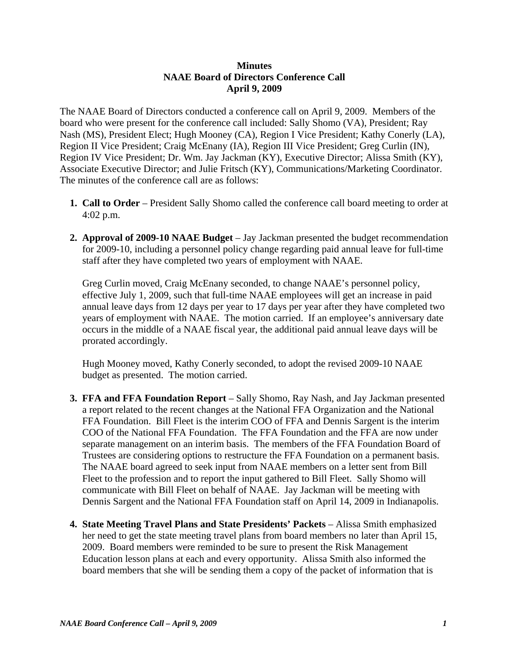## **Minutes NAAE Board of Directors Conference Call April 9, 2009**

The NAAE Board of Directors conducted a conference call on April 9, 2009. Members of the board who were present for the conference call included: Sally Shomo (VA), President; Ray Nash (MS), President Elect; Hugh Mooney (CA), Region I Vice President; Kathy Conerly (LA), Region II Vice President; Craig McEnany (IA), Region III Vice President; Greg Curlin (IN), Region IV Vice President; Dr. Wm. Jay Jackman (KY), Executive Director; Alissa Smith (KY), Associate Executive Director; and Julie Fritsch (KY), Communications/Marketing Coordinator. The minutes of the conference call are as follows:

- **1. Call to Order** President Sally Shomo called the conference call board meeting to order at 4:02 p.m.
- **2. Approval of 2009-10 NAAE Budget** Jay Jackman presented the budget recommendation for 2009-10, including a personnel policy change regarding paid annual leave for full-time staff after they have completed two years of employment with NAAE.

 Greg Curlin moved, Craig McEnany seconded, to change NAAE's personnel policy, effective July 1, 2009, such that full-time NAAE employees will get an increase in paid annual leave days from 12 days per year to 17 days per year after they have completed two years of employment with NAAE. The motion carried. If an employee's anniversary date occurs in the middle of a NAAE fiscal year, the additional paid annual leave days will be prorated accordingly.

 Hugh Mooney moved, Kathy Conerly seconded, to adopt the revised 2009-10 NAAE budget as presented. The motion carried.

- **3. FFA and FFA Foundation Report** Sally Shomo, Ray Nash, and Jay Jackman presented a report related to the recent changes at the National FFA Organization and the National FFA Foundation. Bill Fleet is the interim COO of FFA and Dennis Sargent is the interim COO of the National FFA Foundation. The FFA Foundation and the FFA are now under separate management on an interim basis. The members of the FFA Foundation Board of Trustees are considering options to restructure the FFA Foundation on a permanent basis. The NAAE board agreed to seek input from NAAE members on a letter sent from Bill Fleet to the profession and to report the input gathered to Bill Fleet. Sally Shomo will communicate with Bill Fleet on behalf of NAAE. Jay Jackman will be meeting with Dennis Sargent and the National FFA Foundation staff on April 14, 2009 in Indianapolis.
- **4. State Meeting Travel Plans and State Presidents' Packets** Alissa Smith emphasized her need to get the state meeting travel plans from board members no later than April 15, 2009. Board members were reminded to be sure to present the Risk Management Education lesson plans at each and every opportunity. Alissa Smith also informed the board members that she will be sending them a copy of the packet of information that is